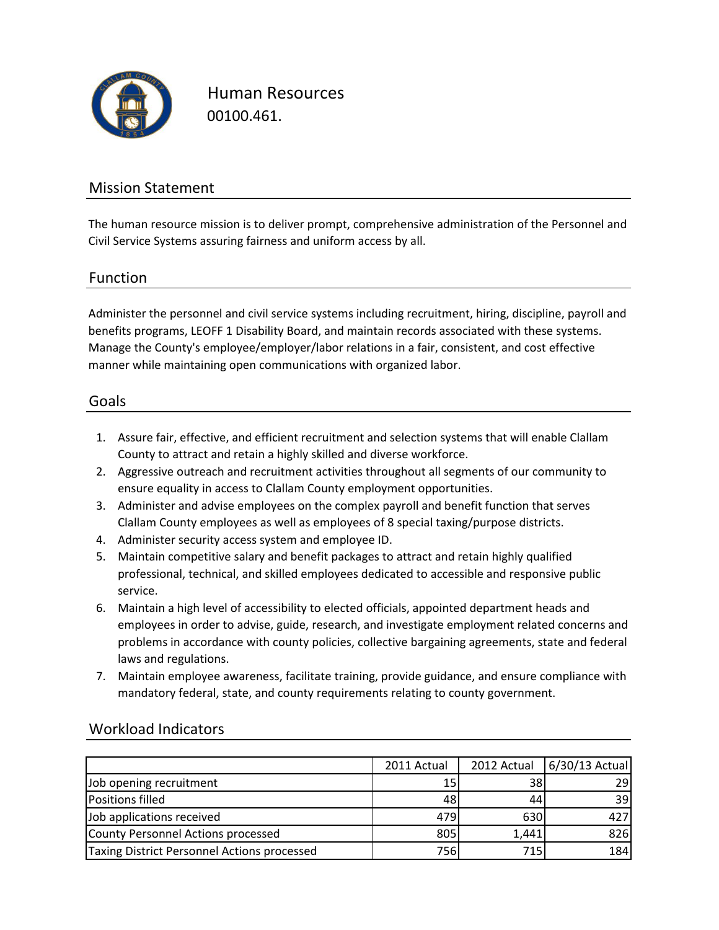

Human Resources 00100.461.

### Mission Statement

The human resource mission is to deliver prompt, comprehensive administration of the Personnel and Civil Service Systems assuring fairness and uniform access by all.

### Function

Administer the personnel and civil service systems including recruitment, hiring, discipline, payroll and benefits programs, LEOFF 1 Disability Board, and maintain records associated with these systems. Manage the County's employee/employer/labor relations in a fair, consistent, and cost effective manner while maintaining open communications with organized labor.

### Goals

- 1. Assure fair, effective, and efficient recruitment and selection systems that will enable Clallam County to attract and retain a highly skilled and diverse workforce.
- 2. Aggressive outreach and recruitment activities throughout all segments of our community to ensure equality in access to Clallam County employment opportunities.
- 3. Administer and advise employees on the complex payroll and benefit function that serves Clallam County employees as well as employees of 8 special taxing/purpose districts.
- 4. Administer security access system and employee ID.
- 5. Maintain competitive salary and benefit packages to attract and retain highly qualified professional, technical, and skilled employees dedicated to accessible and responsive public service.
- 6. Maintain a high level of accessibility to elected officials, appointed department heads and employees in order to advise, guide, research, and investigate employment related concerns and problems in accordance with county policies, collective bargaining agreements, state and federal laws and regulations.
- 7. Maintain employee awareness, facilitate training, provide guidance, and ensure compliance with mandatory federal, state, and county requirements relating to county government.

|                                             | 2011 Actual | 2012 Actual | 6/30/13 Actual |
|---------------------------------------------|-------------|-------------|----------------|
| Job opening recruitment                     | 15          | 38          | 29             |
| <b>Positions filled</b>                     | 48          |             | 39             |
| Job applications received                   | 479         | 630         | 427            |
| County Personnel Actions processed          | 805         | 1,441       | 826            |
| Taxing District Personnel Actions processed | 756l        | 715         | 184            |

### Workload Indicators